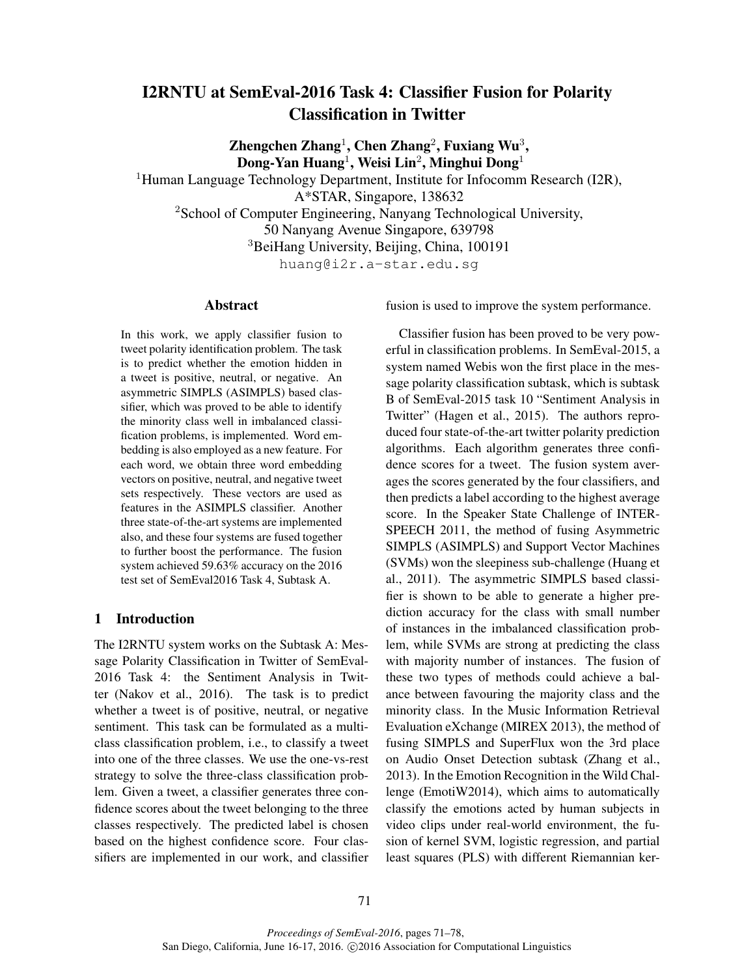# I2RNTU at SemEval-2016 Task 4: Classifier Fusion for Polarity Classification in Twitter

Zhengchen Zhang<sup>1</sup>, Chen Zhang<sup>2</sup>, Fuxiang Wu<sup>3</sup>,  $\bf{Dong\text{-}Yan Huang^1, Weisi Lin^2, Minghui Dong^1}$ 

<sup>1</sup>Human Language Technology Department, Institute for Infocomm Research (I2R), A\*STAR, Singapore, 138632 <sup>2</sup>School of Computer Engineering, Nanyang Technological University, 50 Nanyang Avenue Singapore, 639798 <sup>3</sup>BeiHang University, Beijing, China, 100191 huang@i2r.a-star.edu.sg

#### Abstract

In this work, we apply classifier fusion to tweet polarity identification problem. The task is to predict whether the emotion hidden in a tweet is positive, neutral, or negative. An asymmetric SIMPLS (ASIMPLS) based classifier, which was proved to be able to identify the minority class well in imbalanced classification problems, is implemented. Word embedding is also employed as a new feature. For each word, we obtain three word embedding vectors on positive, neutral, and negative tweet sets respectively. These vectors are used as features in the ASIMPLS classifier. Another three state-of-the-art systems are implemented also, and these four systems are fused together to further boost the performance. The fusion system achieved 59.63% accuracy on the 2016 test set of SemEval2016 Task 4, Subtask A.

# 1 Introduction

The I2RNTU system works on the Subtask A: Message Polarity Classification in Twitter of SemEval-2016 Task 4: the Sentiment Analysis in Twitter (Nakov et al., 2016). The task is to predict whether a tweet is of positive, neutral, or negative sentiment. This task can be formulated as a multiclass classification problem, i.e., to classify a tweet into one of the three classes. We use the one-vs-rest strategy to solve the three-class classification problem. Given a tweet, a classifier generates three confidence scores about the tweet belonging to the three classes respectively. The predicted label is chosen based on the highest confidence score. Four classifiers are implemented in our work, and classifier fusion is used to improve the system performance.

Classifier fusion has been proved to be very powerful in classification problems. In SemEval-2015, a system named Webis won the first place in the message polarity classification subtask, which is subtask B of SemEval-2015 task 10 "Sentiment Analysis in Twitter" (Hagen et al., 2015). The authors reproduced four state-of-the-art twitter polarity prediction algorithms. Each algorithm generates three confidence scores for a tweet. The fusion system averages the scores generated by the four classifiers, and then predicts a label according to the highest average score. In the Speaker State Challenge of INTER-SPEECH 2011, the method of fusing Asymmetric SIMPLS (ASIMPLS) and Support Vector Machines (SVMs) won the sleepiness sub-challenge (Huang et al., 2011). The asymmetric SIMPLS based classifier is shown to be able to generate a higher prediction accuracy for the class with small number of instances in the imbalanced classification problem, while SVMs are strong at predicting the class with majority number of instances. The fusion of these two types of methods could achieve a balance between favouring the majority class and the minority class. In the Music Information Retrieval Evaluation eXchange (MIREX 2013), the method of fusing SIMPLS and SuperFlux won the 3rd place on Audio Onset Detection subtask (Zhang et al., 2013). In the Emotion Recognition in the Wild Challenge (EmotiW2014), which aims to automatically classify the emotions acted by human subjects in video clips under real-world environment, the fusion of kernel SVM, logistic regression, and partial least squares (PLS) with different Riemannian ker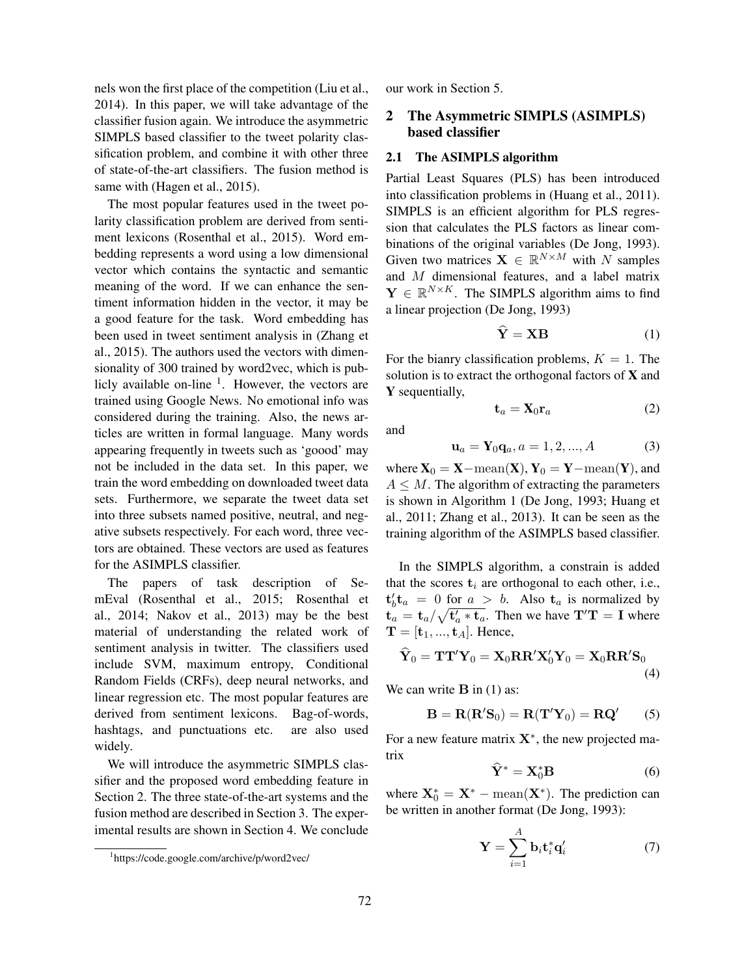nels won the first place of the competition (Liu et al., 2014). In this paper, we will take advantage of the classifier fusion again. We introduce the asymmetric SIMPLS based classifier to the tweet polarity classification problem, and combine it with other three of state-of-the-art classifiers. The fusion method is same with (Hagen et al., 2015).

The most popular features used in the tweet polarity classification problem are derived from sentiment lexicons (Rosenthal et al., 2015). Word embedding represents a word using a low dimensional vector which contains the syntactic and semantic meaning of the word. If we can enhance the sentiment information hidden in the vector, it may be a good feature for the task. Word embedding has been used in tweet sentiment analysis in (Zhang et al., 2015). The authors used the vectors with dimensionality of 300 trained by word2vec, which is publicly available on-line <sup>1</sup>. However, the vectors are trained using Google News. No emotional info was considered during the training. Also, the news articles are written in formal language. Many words appearing frequently in tweets such as 'goood' may not be included in the data set. In this paper, we train the word embedding on downloaded tweet data sets. Furthermore, we separate the tweet data set into three subsets named positive, neutral, and negative subsets respectively. For each word, three vectors are obtained. These vectors are used as features for the ASIMPLS classifier.

The papers of task description of SemEval (Rosenthal et al., 2015; Rosenthal et al., 2014; Nakov et al., 2013) may be the best material of understanding the related work of sentiment analysis in twitter. The classifiers used include SVM, maximum entropy, Conditional Random Fields (CRFs), deep neural networks, and linear regression etc. The most popular features are derived from sentiment lexicons. Bag-of-words, hashtags, and punctuations etc. are also used widely.

We will introduce the asymmetric SIMPLS classifier and the proposed word embedding feature in Section 2. The three state-of-the-art systems and the fusion method are described in Section 3. The experimental results are shown in Section 4. We conclude

our work in Section 5.

# 2 The Asymmetric SIMPLS (ASIMPLS) based classifier

#### 2.1 The ASIMPLS algorithm

Partial Least Squares (PLS) has been introduced into classification problems in (Huang et al., 2011). SIMPLS is an efficient algorithm for PLS regression that calculates the PLS factors as linear combinations of the original variables (De Jong, 1993). Given two matrices  $X \in \mathbb{R}^{N \times M}$  with N samples and M dimensional features, and a label matrix  $\mathbf{Y} \in \mathbb{R}^{N \times K}$ . The SIMPLS algorithm aims to find a linear projection (De Jong, 1993)

$$
\dot{\mathbf{Y}} = \mathbf{X}\mathbf{B} \tag{1}
$$

For the bianry classification problems,  $K = 1$ . The solution is to extract the orthogonal factors of  $X$  and Y sequentially,

$$
\mathbf{t}_a = \mathbf{X}_0 \mathbf{r}_a \tag{2}
$$

and

$$
\mathbf{u}_a = \mathbf{Y}_0 \mathbf{q}_a, a = 1, 2, ..., A \tag{3}
$$

where  $X_0 = X - \text{mean}(X)$ ,  $Y_0 = Y - \text{mean}(Y)$ , and  $A \leq M$ . The algorithm of extracting the parameters is shown in Algorithm 1 (De Jong, 1993; Huang et al., 2011; Zhang et al., 2013). It can be seen as the training algorithm of the ASIMPLS based classifier.

In the SIMPLS algorithm, a constrain is added that the scores  $t_i$  are orthogonal to each other, i.e.,  $t'_b t_a = 0$  for  $a > b$ . Also  $t_a$  is normalized by  $t_a = t_a / \sqrt{t_a' * t_a}$ . Then we have  $T'T = I$  where  $\mathbf{T} = [\mathbf{t}_1, ..., \mathbf{t}_A]$ . Hence,

$$
\widehat{\mathbf{Y}}_0 = \mathbf{T}\mathbf{T}'\mathbf{Y}_0 = \mathbf{X}_0 \mathbf{R}\mathbf{R}'\mathbf{X}'_0 \mathbf{Y}_0 = \mathbf{X}_0 \mathbf{R}\mathbf{R}'\mathbf{S}_0
$$
\n(4)

We can write  $\bf{B}$  in (1) as:

$$
\mathbf{B} = \mathbf{R}(\mathbf{R}'\mathbf{S}_0) = \mathbf{R}(\mathbf{T}'\mathbf{Y}_0) = \mathbf{R}\mathbf{Q}'
$$
 (5)

For a new feature matrix  $X^*$ , the new projected matrix

$$
\mathbf{Y}^* = \mathbf{X}_0^* \mathbf{B} \tag{6}
$$

where  $X_0^* = X^* - \text{mean}(X^*)$ . The prediction can be written in another format (De Jong, 1993):

$$
\mathbf{Y} = \sum_{i=1}^{A} \mathbf{b}_i \mathbf{t}_i^* \mathbf{q}_i' \tag{7}
$$

<sup>1</sup> https://code.google.com/archive/p/word2vec/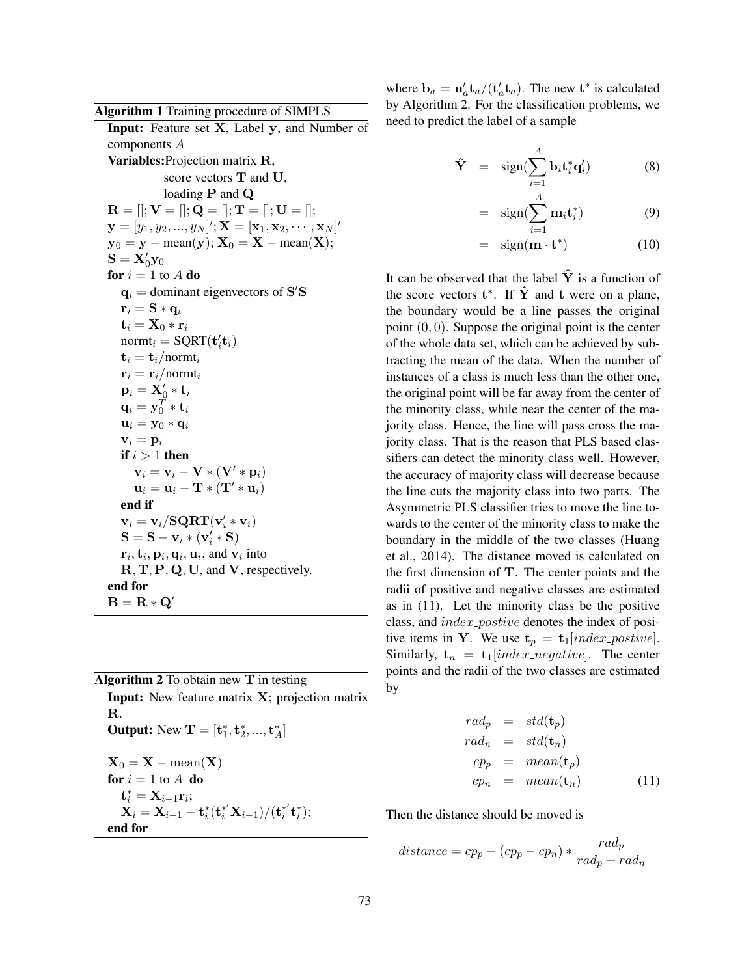Algorithm 1 Training procedure of SIMPLS Input: Feature set X, Label y, and Number of components A Variables:Projection matrix R, score vectors T and U, loading P and Q  $\mathbf{R} = []; \mathbf{V} = []; \mathbf{Q} = []; \mathbf{T} = []; \mathbf{U} = [];$  $\mathbf{y} = [y_1, y_2, ..., y_N]'; \mathbf{X} = [\mathbf{x}_1, \mathbf{x}_2, \cdots, \mathbf{x}_N]'$  $y_0 = y - \text{mean}(y); X_0 = X - \text{mean}(X);$  $\mathbf{S} = \mathbf{X}_0' \mathbf{y}_0$ for  $i = 1$  to A do  $\mathbf{q}_i$  = dominant eigenvectors of S'S  $\mathbf{r}_i = \mathbf{S} * \mathbf{q}_i$  $\mathbf{t}_i = \mathbf{X}_0 * \mathbf{r}_i$ norm $t_i = \text{SQRT}(\mathbf{t}'_i \mathbf{t}_i)$  $\mathbf{t}_i = \mathbf{t}_i/$ norm $\mathbf{t}_i$  $\mathbf{r}_i = \mathbf{r}_i/$ normt<sub>i</sub>  $\mathbf{p}_i = \mathbf{X}_0' * \mathbf{t}_i$  $\mathbf{q}_i = \mathbf{y}_0^T * \mathbf{t}_i$  $\mathbf{u}_i = \mathbf{y}_0 * \mathbf{q}_i$  $v_i = p_i$ if  $i > 1$  then  $\mathbf{v}_i = \mathbf{v}_i - \mathbf{V} * (\mathbf{V}' * \mathbf{p}_i)$  $\mathbf{u}_i = \mathbf{u}_i - \mathbf{T} * (\mathbf{T}' * \mathbf{u}_i)$ end if  $\mathbf{v}_i = \mathbf{v}_i / \mathbf{SQRT}(\mathbf{v}_i' * \mathbf{v}_i)$  $S = S - v_i * (v'_i * S)$  ${\bf r}_i, {\bf t}_i, {\bf p}_i, {\bf q}_i, {\bf u}_i,$  and  ${\bf v}_i$  into R, T, P, Q, U, and V, respectively. end for  $B = R * Q'$ 

Algorithm 2 To obtain new T in testing Input: New feature matrix X; projection matrix R. **Output:** New  $\mathbf{T} = [\mathbf{t}_1^*, \mathbf{t}_2^*, ..., \mathbf{t}_A^*]$  $\mathbf{X}_0 = \mathbf{X} - \text{mean}(\mathbf{X})$ for  $i = 1$  to  $A$  do  $\mathbf{t}_i^* = \mathbf{X}_{i-1} \mathbf{r}_i;$  ${\bf X}_i = {\bf X}_{i-1} - {\bf t}_{i} ^* ({\bf t}_{i} ^* ' {\bf X}_{i-1}) / ({\bf t}_{i} ^* ' {\bf t}_{i} ^*);$ end for

where  $\mathbf{b}_a = \mathbf{u}'_a \mathbf{t}_a / (\mathbf{t}'_a \mathbf{t}_a)$ . The new  $\mathbf{t}^*$  is calculated by Algorithm 2. For the classification problems, we need to predict the label of a sample

$$
\hat{\mathbf{Y}} = \text{sign}(\sum_{i=1}^{A} \mathbf{b}_i \mathbf{t}_i^* \mathbf{q}_i') \tag{8}
$$

$$
= \text{sign}(\sum_{i=1}^{A} \mathbf{m}_i \mathbf{t}_i^*)
$$
 (9)

$$
= \text{sign}(\mathbf{m} \cdot \mathbf{t}^*) \tag{10}
$$

It can be observed that the label  $\hat{Y}$  is a function of the score vectors  $t^*$ . If  $\hat{Y}$  and t were on a plane, the boundary would be a line passes the original point  $(0, 0)$ . Suppose the original point is the center of the whole data set, which can be achieved by subtracting the mean of the data. When the number of instances of a class is much less than the other one, the original point will be far away from the center of the minority class, while near the center of the majority class. Hence, the line will pass cross the majority class. That is the reason that PLS based classifiers can detect the minority class well. However, the accuracy of majority class will decrease because the line cuts the majority class into two parts. The Asymmetric PLS classifier tries to move the line towards to the center of the minority class to make the boundary in the middle of the two classes (Huang et al., 2014). The distance moved is calculated on the first dimension of T. The center points and the radii of positive and negative classes are estimated as in (11). Let the minority class be the positive class, and index\_postive denotes the index of positive items in Y. We use  $t_p = t_1$ [index\_postive]. Similarly,  $t_n = t_1$ [index\_negative]. The center points and the radii of the two classes are estimated by

$$
rad_p = std(\mathbf{t}_p)
$$
  
\n
$$
rad_n = std(\mathbf{t}_n)
$$
  
\n
$$
cp_p = mean(\mathbf{t}_p)
$$
  
\n
$$
cp_n = mean(\mathbf{t}_n)
$$
\n(11)

Then the distance should be moved is

$$
distance = cp_p - (cp_p - cp_n) * \frac{rad_p}{rad_p + rad_n}
$$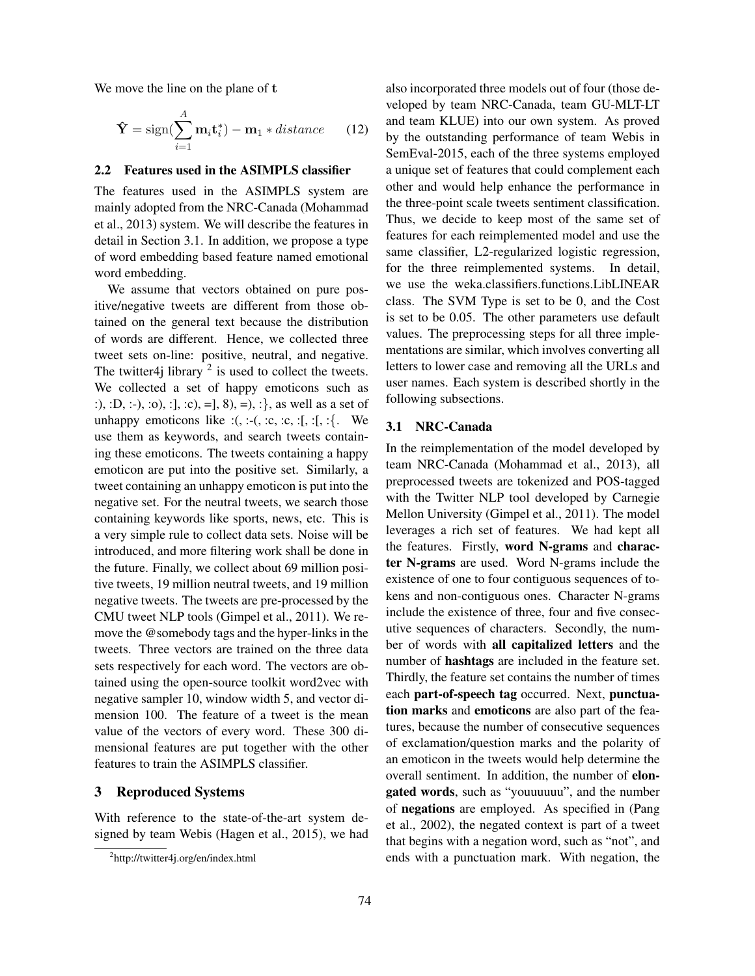We move the line on the plane of t

$$
\hat{\mathbf{Y}} = \text{sign}(\sum_{i=1}^{A} \mathbf{m}_i \mathbf{t}_i^*) - \mathbf{m}_1 * distance \qquad (12)
$$

# 2.2 Features used in the ASIMPLS classifier

The features used in the ASIMPLS system are mainly adopted from the NRC-Canada (Mohammad et al., 2013) system. We will describe the features in detail in Section 3.1. In addition, we propose a type of word embedding based feature named emotional word embedding.

We assume that vectors obtained on pure positive/negative tweets are different from those obtained on the general text because the distribution of words are different. Hence, we collected three tweet sets on-line: positive, neutral, and negative. The twitter4j library  $2$  is used to collect the tweets. We collected a set of happy emoticons such as :), :D, :-), :o), :], :c), =], 8), =), :}, as well as a set of unhappy emoticons like  $:(, :-(, :c, :c, :[, :[, :].$  We use them as keywords, and search tweets containing these emoticons. The tweets containing a happy emoticon are put into the positive set. Similarly, a tweet containing an unhappy emoticon is put into the negative set. For the neutral tweets, we search those containing keywords like sports, news, etc. This is a very simple rule to collect data sets. Noise will be introduced, and more filtering work shall be done in the future. Finally, we collect about 69 million positive tweets, 19 million neutral tweets, and 19 million negative tweets. The tweets are pre-processed by the CMU tweet NLP tools (Gimpel et al., 2011). We remove the @somebody tags and the hyper-links in the tweets. Three vectors are trained on the three data sets respectively for each word. The vectors are obtained using the open-source toolkit word2vec with negative sampler 10, window width 5, and vector dimension 100. The feature of a tweet is the mean value of the vectors of every word. These 300 dimensional features are put together with the other features to train the ASIMPLS classifier.

# 3 Reproduced Systems

With reference to the state-of-the-art system designed by team Webis (Hagen et al., 2015), we had also incorporated three models out of four (those developed by team NRC-Canada, team GU-MLT-LT and team KLUE) into our own system. As proved by the outstanding performance of team Webis in SemEval-2015, each of the three systems employed a unique set of features that could complement each other and would help enhance the performance in the three-point scale tweets sentiment classification. Thus, we decide to keep most of the same set of features for each reimplemented model and use the same classifier, L2-regularized logistic regression, for the three reimplemented systems. In detail, we use the weka.classifiers.functions.LibLINEAR class. The SVM Type is set to be 0, and the Cost is set to be 0.05. The other parameters use default values. The preprocessing steps for all three implementations are similar, which involves converting all letters to lower case and removing all the URLs and user names. Each system is described shortly in the following subsections.

#### 3.1 NRC-Canada

In the reimplementation of the model developed by team NRC-Canada (Mohammad et al., 2013), all preprocessed tweets are tokenized and POS-tagged with the Twitter NLP tool developed by Carnegie Mellon University (Gimpel et al., 2011). The model leverages a rich set of features. We had kept all the features. Firstly, word N-grams and character N-grams are used. Word N-grams include the existence of one to four contiguous sequences of tokens and non-contiguous ones. Character N-grams include the existence of three, four and five consecutive sequences of characters. Secondly, the number of words with all capitalized letters and the number of hashtags are included in the feature set. Thirdly, the feature set contains the number of times each part-of-speech tag occurred. Next, punctuation marks and emoticons are also part of the features, because the number of consecutive sequences of exclamation/question marks and the polarity of an emoticon in the tweets would help determine the overall sentiment. In addition, the number of elongated words, such as "youuuuuu", and the number of negations are employed. As specified in (Pang et al., 2002), the negated context is part of a tweet that begins with a negation word, such as "not", and ends with a punctuation mark. With negation, the

<sup>&</sup>lt;sup>2</sup>http://twitter4j.org/en/index.html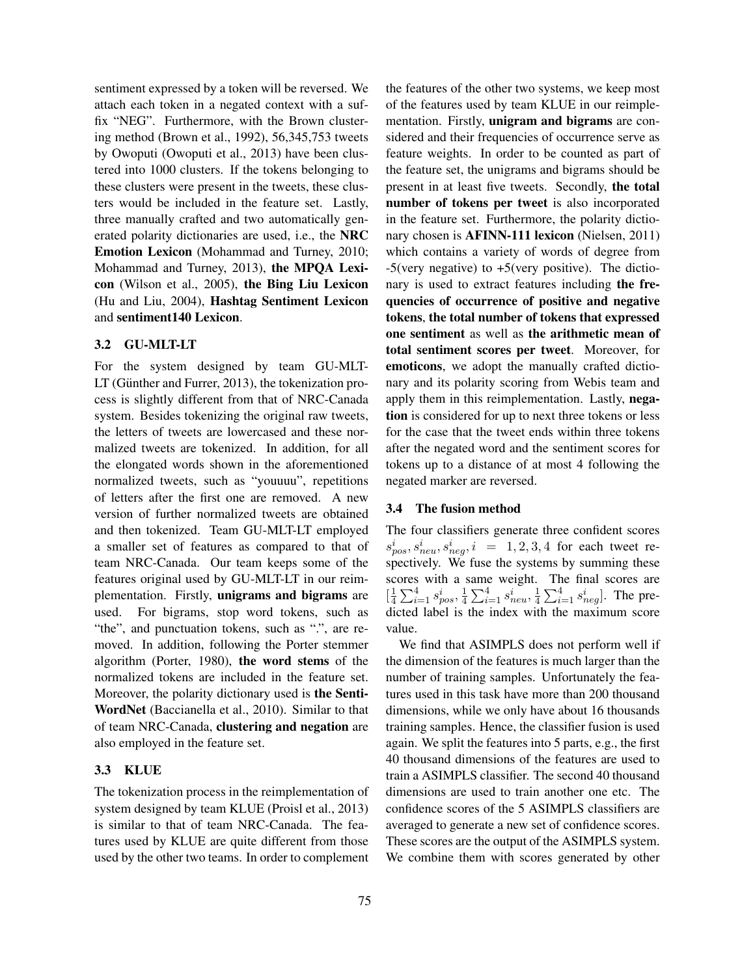sentiment expressed by a token will be reversed. We attach each token in a negated context with a suffix "NEG". Furthermore, with the Brown clustering method (Brown et al., 1992), 56,345,753 tweets by Owoputi (Owoputi et al., 2013) have been clustered into 1000 clusters. If the tokens belonging to these clusters were present in the tweets, these clusters would be included in the feature set. Lastly, three manually crafted and two automatically generated polarity dictionaries are used, i.e., the NRC Emotion Lexicon (Mohammad and Turney, 2010; Mohammad and Turney, 2013), the MPQA Lexicon (Wilson et al., 2005), the Bing Liu Lexicon (Hu and Liu, 2004), Hashtag Sentiment Lexicon and sentiment140 Lexicon.

# 3.2 GU-MLT-LT

For the system designed by team GU-MLT- $LT$  (Günther and Furrer, 2013), the tokenization process is slightly different from that of NRC-Canada system. Besides tokenizing the original raw tweets, the letters of tweets are lowercased and these normalized tweets are tokenized. In addition, for all the elongated words shown in the aforementioned normalized tweets, such as "youuuu", repetitions of letters after the first one are removed. A new version of further normalized tweets are obtained and then tokenized. Team GU-MLT-LT employed a smaller set of features as compared to that of team NRC-Canada. Our team keeps some of the features original used by GU-MLT-LT in our reimplementation. Firstly, unigrams and bigrams are used. For bigrams, stop word tokens, such as "the", and punctuation tokens, such as ".", are removed. In addition, following the Porter stemmer algorithm (Porter, 1980), the word stems of the normalized tokens are included in the feature set. Moreover, the polarity dictionary used is the Senti-WordNet (Baccianella et al., 2010). Similar to that of team NRC-Canada, clustering and negation are also employed in the feature set.

# 3.3 KLUE

The tokenization process in the reimplementation of system designed by team KLUE (Proisl et al., 2013) is similar to that of team NRC-Canada. The features used by KLUE are quite different from those used by the other two teams. In order to complement

the features of the other two systems, we keep most of the features used by team KLUE in our reimplementation. Firstly, unigram and bigrams are considered and their frequencies of occurrence serve as feature weights. In order to be counted as part of the feature set, the unigrams and bigrams should be present in at least five tweets. Secondly, the total number of tokens per tweet is also incorporated in the feature set. Furthermore, the polarity dictionary chosen is AFINN-111 lexicon (Nielsen, 2011) which contains a variety of words of degree from  $-5$ (very negative) to  $+5$ (very positive). The dictionary is used to extract features including the frequencies of occurrence of positive and negative tokens, the total number of tokens that expressed one sentiment as well as the arithmetic mean of total sentiment scores per tweet. Moreover, for emoticons, we adopt the manually crafted dictionary and its polarity scoring from Webis team and apply them in this reimplementation. Lastly, negation is considered for up to next three tokens or less for the case that the tweet ends within three tokens after the negated word and the sentiment scores for tokens up to a distance of at most 4 following the negated marker are reversed.

# 3.4 The fusion method

The four classifiers generate three confident scores  $s_{pos}^i, s_{neu}^i, s_{neg}^i, i = 1, 2, 3, 4$  for each tweet respectively. We fuse the systems by summing these scores with a same weight. The final scores are  $\left[\frac{1}{4}\sum_{i=1}^{4} s_{pos}^{i}, \frac{1}{4}\sum_{i=1}^{4} s_{neu}^{i}, \frac{1}{4}\sum_{i=1}^{4} s_{neg}^{i}\right]$ . The predicted label is the index with the maximum score value.

We find that ASIMPLS does not perform well if the dimension of the features is much larger than the number of training samples. Unfortunately the features used in this task have more than 200 thousand dimensions, while we only have about 16 thousands training samples. Hence, the classifier fusion is used again. We split the features into 5 parts, e.g., the first 40 thousand dimensions of the features are used to train a ASIMPLS classifier. The second 40 thousand dimensions are used to train another one etc. The confidence scores of the 5 ASIMPLS classifiers are averaged to generate a new set of confidence scores. These scores are the output of the ASIMPLS system. We combine them with scores generated by other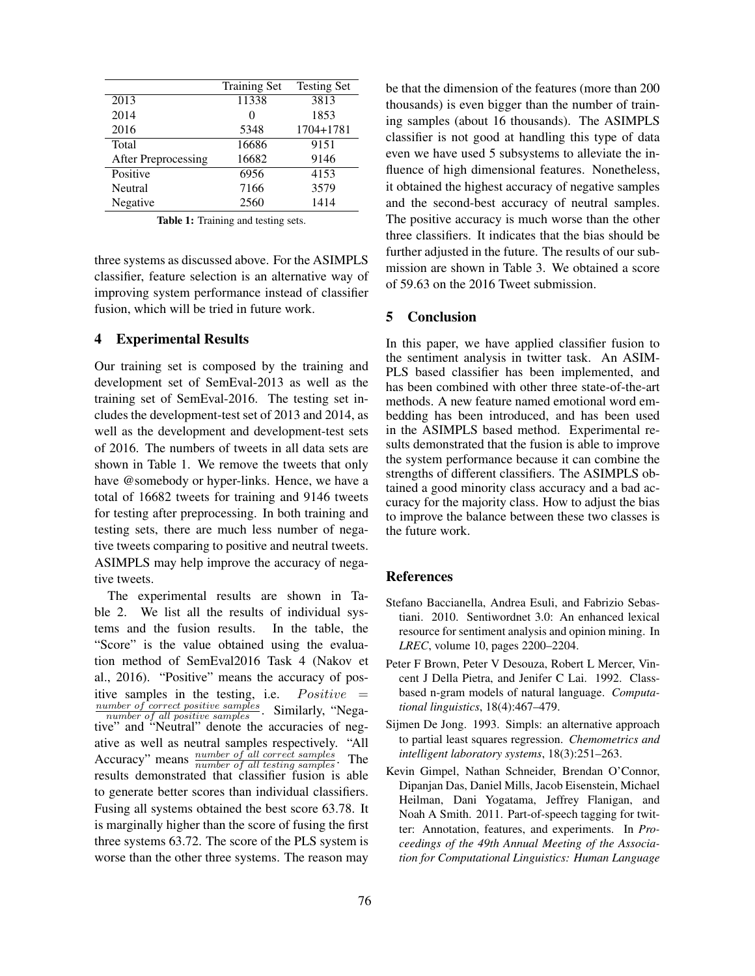|                     | <b>Training Set</b> | <b>Testing Set</b> |
|---------------------|---------------------|--------------------|
| 2013                | 11338               | 3813               |
| 2014                | $\mathbf{\Omega}$   | 1853               |
| 2016                | 5348                | 1704+1781          |
| Total               | 16686               | 9151               |
| After Preprocessing | 16682               | 9146               |
| Positive            | 6956                | 4153               |
| Neutral             | 7166                | 3579               |
| Negative            | 2560                | 1414               |

Table 1: Training and testing sets.

three systems as discussed above. For the ASIMPLS classifier, feature selection is an alternative way of improving system performance instead of classifier fusion, which will be tried in future work.

#### 4 Experimental Results

Our training set is composed by the training and development set of SemEval-2013 as well as the training set of SemEval-2016. The testing set includes the development-test set of 2013 and 2014, as well as the development and development-test sets of 2016. The numbers of tweets in all data sets are shown in Table 1. We remove the tweets that only have @somebody or hyper-links. Hence, we have a total of 16682 tweets for training and 9146 tweets for testing after preprocessing. In both training and testing sets, there are much less number of negative tweets comparing to positive and neutral tweets. ASIMPLS may help improve the accuracy of negative tweets.

The experimental results are shown in Table 2. We list all the results of individual systems and the fusion results. In the table, the "Score" is the value obtained using the evaluation method of SemEval2016 Task 4 (Nakov et al., 2016). "Positive" means the accuracy of positive samples in the testing, i.e.  $Positive =$  $\frac{number\ of\ correct\ positive\ samples}{number\ of\ all\ positive\ samples}$ . Similarly, "Negative" and "Neutral" denote the accuracies of negative as well as neutral samples respectively. "All Accuracy" means  $\frac{number\ of\ all\ correct\ samples}{number\ of\ all\ testing\ samples}$ . The results demonstrated that classifier fusion is able to generate better scores than individual classifiers. Fusing all systems obtained the best score 63.78. It is marginally higher than the score of fusing the first three systems 63.72. The score of the PLS system is worse than the other three systems. The reason may be that the dimension of the features (more than 200 thousands) is even bigger than the number of training samples (about 16 thousands). The ASIMPLS classifier is not good at handling this type of data even we have used 5 subsystems to alleviate the influence of high dimensional features. Nonetheless, it obtained the highest accuracy of negative samples and the second-best accuracy of neutral samples. The positive accuracy is much worse than the other three classifiers. It indicates that the bias should be further adjusted in the future. The results of our submission are shown in Table 3. We obtained a score of 59.63 on the 2016 Tweet submission.

#### 5 Conclusion

In this paper, we have applied classifier fusion to the sentiment analysis in twitter task. An ASIM-PLS based classifier has been implemented, and has been combined with other three state-of-the-art methods. A new feature named emotional word embedding has been introduced, and has been used in the ASIMPLS based method. Experimental results demonstrated that the fusion is able to improve the system performance because it can combine the strengths of different classifiers. The ASIMPLS obtained a good minority class accuracy and a bad accuracy for the majority class. How to adjust the bias to improve the balance between these two classes is the future work.

# References

- Stefano Baccianella, Andrea Esuli, and Fabrizio Sebastiani. 2010. Sentiwordnet 3.0: An enhanced lexical resource for sentiment analysis and opinion mining. In *LREC*, volume 10, pages 2200–2204.
- Peter F Brown, Peter V Desouza, Robert L Mercer, Vincent J Della Pietra, and Jenifer C Lai. 1992. Classbased n-gram models of natural language. *Computational linguistics*, 18(4):467–479.
- Sijmen De Jong. 1993. Simpls: an alternative approach to partial least squares regression. *Chemometrics and intelligent laboratory systems*, 18(3):251–263.
- Kevin Gimpel, Nathan Schneider, Brendan O'Connor, Dipanjan Das, Daniel Mills, Jacob Eisenstein, Michael Heilman, Dani Yogatama, Jeffrey Flanigan, and Noah A Smith. 2011. Part-of-speech tagging for twitter: Annotation, features, and experiments. In *Proceedings of the 49th Annual Meeting of the Association for Computational Linguistics: Human Language*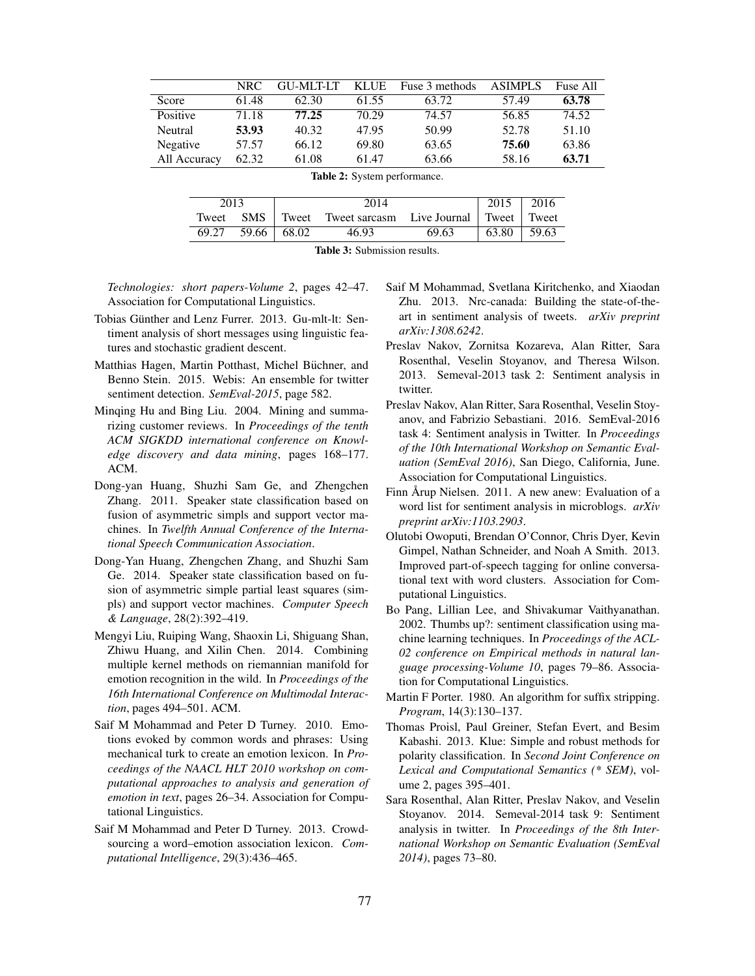|                                     | <b>NRC</b> | <b>GU-MLT-LT</b> | <b>KLUE</b> | Fuse 3 methods | <b>ASIMPLS</b> | Fuse All |  |  |
|-------------------------------------|------------|------------------|-------------|----------------|----------------|----------|--|--|
| Score                               | 61.48      | 62.30            | 61.55       | 63.72          | 57.49          | 63.78    |  |  |
|                                     |            |                  |             |                |                |          |  |  |
| Positive                            | 71.18      | 77.25            | 70.29       | 74.57          | 56.85          | 74.52    |  |  |
| Neutral                             | 53.93      | 40.32            | 47.95       | 50.99          | 52.78          | 51.10    |  |  |
| Negative                            | 57.57      | 66.12            | 69.80       | 63.65          | 75.60          | 63.86    |  |  |
| All Accuracy                        | 62.32      | 61.08            | 61.47       | 63.66          | 58.16          | 63.71    |  |  |
| <b>Table 2:</b> System performance. |            |                  |             |                |                |          |  |  |
|                                     |            |                  |             |                |                |          |  |  |

| 2013  |             | 2014 |                                                         | $2015$   2016 |       |               |
|-------|-------------|------|---------------------------------------------------------|---------------|-------|---------------|
| Tweet |             |      | <b>SMS</b> Tweet Tweet sarcasm Live Journal Tweet Tweet |               |       |               |
| 69.27 | 59.66 68.02 |      | 46.93                                                   | 69.63         | 63.80 | $\vert$ 59.63 |

Table 3: Submission results.

*Technologies: short papers-Volume 2*, pages 42–47. Association for Computational Linguistics.

- Tobias Günther and Lenz Furrer. 2013. Gu-mlt-lt: Sentiment analysis of short messages using linguistic features and stochastic gradient descent.
- Matthias Hagen, Martin Potthast, Michel Büchner, and Benno Stein. 2015. Webis: An ensemble for twitter sentiment detection. *SemEval-2015*, page 582.
- Minqing Hu and Bing Liu. 2004. Mining and summarizing customer reviews. In *Proceedings of the tenth ACM SIGKDD international conference on Knowledge discovery and data mining*, pages 168–177. ACM.
- Dong-yan Huang, Shuzhi Sam Ge, and Zhengchen Zhang. 2011. Speaker state classification based on fusion of asymmetric simpls and support vector machines. In *Twelfth Annual Conference of the International Speech Communication Association*.
- Dong-Yan Huang, Zhengchen Zhang, and Shuzhi Sam Ge. 2014. Speaker state classification based on fusion of asymmetric simple partial least squares (simpls) and support vector machines. *Computer Speech & Language*, 28(2):392–419.
- Mengyi Liu, Ruiping Wang, Shaoxin Li, Shiguang Shan, Zhiwu Huang, and Xilin Chen. 2014. Combining multiple kernel methods on riemannian manifold for emotion recognition in the wild. In *Proceedings of the 16th International Conference on Multimodal Interaction*, pages 494–501. ACM.
- Saif M Mohammad and Peter D Turney. 2010. Emotions evoked by common words and phrases: Using mechanical turk to create an emotion lexicon. In *Proceedings of the NAACL HLT 2010 workshop on computational approaches to analysis and generation of emotion in text*, pages 26–34. Association for Computational Linguistics.
- Saif M Mohammad and Peter D Turney. 2013. Crowdsourcing a word–emotion association lexicon. *Computational Intelligence*, 29(3):436–465.
- Saif M Mohammad, Svetlana Kiritchenko, and Xiaodan Zhu. 2013. Nrc-canada: Building the state-of-theart in sentiment analysis of tweets. *arXiv preprint arXiv:1308.6242*.
- Preslav Nakov, Zornitsa Kozareva, Alan Ritter, Sara Rosenthal, Veselin Stoyanov, and Theresa Wilson. 2013. Semeval-2013 task 2: Sentiment analysis in twitter.
- Preslav Nakov, Alan Ritter, Sara Rosenthal, Veselin Stoyanov, and Fabrizio Sebastiani. 2016. SemEval-2016 task 4: Sentiment analysis in Twitter. In *Proceedings of the 10th International Workshop on Semantic Evaluation (SemEval 2016)*, San Diego, California, June. Association for Computational Linguistics.
- Finn Årup Nielsen. 2011. A new anew: Evaluation of a word list for sentiment analysis in microblogs. *arXiv preprint arXiv:1103.2903*.
- Olutobi Owoputi, Brendan O'Connor, Chris Dyer, Kevin Gimpel, Nathan Schneider, and Noah A Smith. 2013. Improved part-of-speech tagging for online conversational text with word clusters. Association for Computational Linguistics.
- Bo Pang, Lillian Lee, and Shivakumar Vaithyanathan. 2002. Thumbs up?: sentiment classification using machine learning techniques. In *Proceedings of the ACL-02 conference on Empirical methods in natural language processing-Volume 10*, pages 79–86. Association for Computational Linguistics.
- Martin F Porter. 1980. An algorithm for suffix stripping. *Program*, 14(3):130–137.
- Thomas Proisl, Paul Greiner, Stefan Evert, and Besim Kabashi. 2013. Klue: Simple and robust methods for polarity classification. In *Second Joint Conference on Lexical and Computational Semantics (\* SEM)*, volume 2, pages 395–401.
- Sara Rosenthal, Alan Ritter, Preslav Nakov, and Veselin Stoyanov. 2014. Semeval-2014 task 9: Sentiment analysis in twitter. In *Proceedings of the 8th International Workshop on Semantic Evaluation (SemEval 2014)*, pages 73–80.